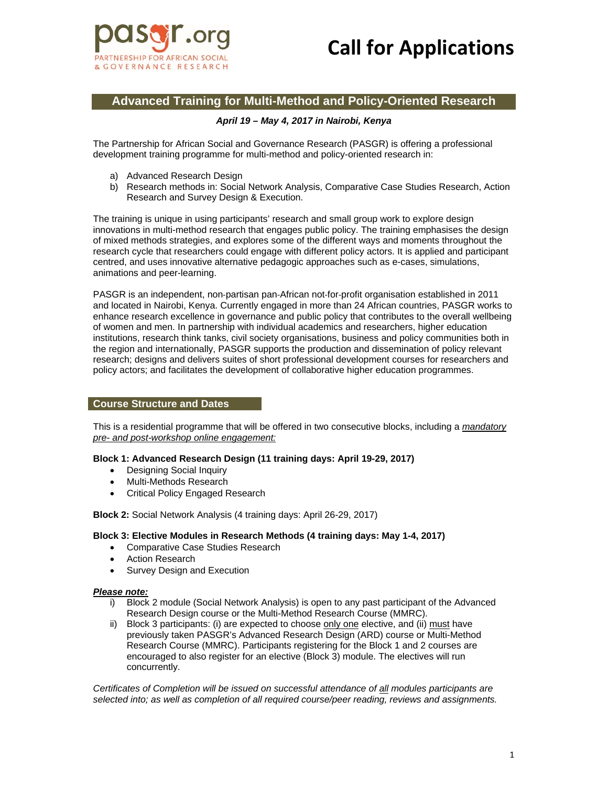

# **Call for Applications**

# **Advanced Training for Multi-Method and Policy-Oriented Research**

## *April 19 – May 4, 2017 in Nairobi, Kenya*

The Partnership for African Social and Governance Research (PASGR) is offering a professional development training programme for multi-method and policy-oriented research in:

- a) Advanced Research Design
- b) Research methods in: Social Network Analysis, Comparative Case Studies Research, Action Research and Survey Design & Execution.

The training is unique in using participants' research and small group work to explore design innovations in multi-method research that engages public policy. The training emphasises the design of mixed methods strategies, and explores some of the different ways and moments throughout the research cycle that researchers could engage with different policy actors. It is applied and participant centred, and uses innovative alternative pedagogic approaches such as e-cases, simulations, animations and peer-learning.

PASGR is an independent, non‐partisan pan‐African not‐for‐profit organisation established in 2011 and located in Nairobi, Kenya. Currently engaged in more than 24 African countries, PASGR works to enhance research excellence in governance and public policy that contributes to the overall wellbeing of women and men. In partnership with individual academics and researchers, higher education institutions, research think tanks, civil society organisations, business and policy communities both in the region and internationally, PASGR supports the production and dissemination of policy relevant research; designs and delivers suites of short professional development courses for researchers and policy actors; and facilitates the development of collaborative higher education programmes.

#### **Course Structure and Dates**

This is a residential programme that will be offered in two consecutive blocks, including a *mandatory pre- and post-workshop online engagement:* 

#### **Block 1: Advanced Research Design (11 training days: April 19-29, 2017)**

- Designing Social Inquiry
- Multi-Methods Research
- Critical Policy Engaged Research

**Block 2:** Social Network Analysis (4 training days: April 26-29, 2017)

#### **Block 3: Elective Modules in Research Methods (4 training days: May 1-4, 2017)**

- Comparative Case Studies Research
- Action Research
- Survey Design and Execution

#### *Please note:*

- i) Block 2 module (Social Network Analysis) is open to any past participant of the Advanced Research Design course or the Multi-Method Research Course (MMRC).
- ii) Block 3 participants: (i) are expected to choose only one elective, and (ii) must have previously taken PASGR's Advanced Research Design (ARD) course or Multi-Method Research Course (MMRC). Participants registering for the Block 1 and 2 courses are encouraged to also register for an elective (Block 3) module. The electives will run concurrently.

*Certificates of Completion will be issued on successful attendance of all modules participants are selected into; as well as completion of all required course/peer reading, reviews and assignments.*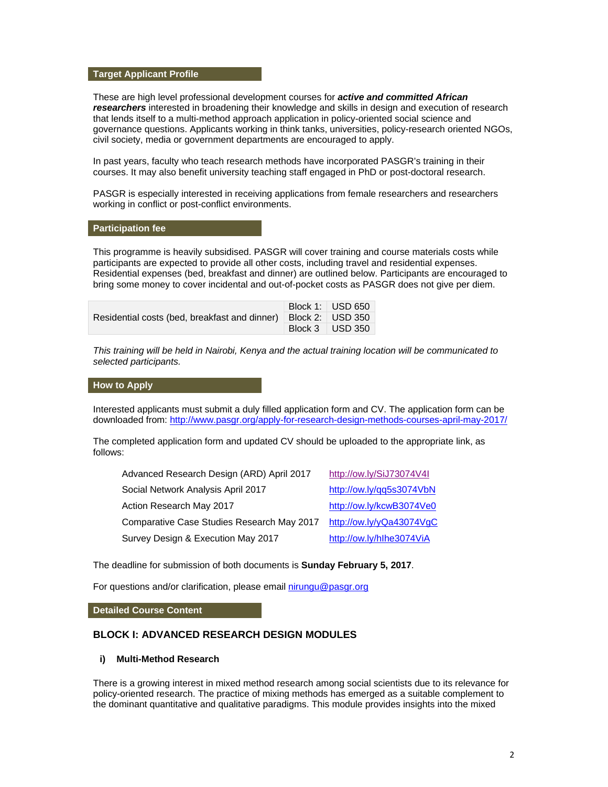#### **Target Applicant Profile**

These are high level professional development courses for *active and committed African researchers* interested in broadening their knowledge and skills in design and execution of research that lends itself to a multi-method approach application in policy-oriented social science and governance questions. Applicants working in think tanks, universities, policy-research oriented NGOs, civil society, media or government departments are encouraged to apply.

In past years, faculty who teach research methods have incorporated PASGR's training in their courses. It may also benefit university teaching staff engaged in PhD or post-doctoral research.

PASGR is especially interested in receiving applications from female researchers and researchers working in conflict or post-conflict environments.

#### **Participation fee**

This programme is heavily subsidised. PASGR will cover training and course materials costs while participants are expected to provide all other costs, including travel and residential expenses. Residential expenses (bed, breakfast and dinner) are outlined below. Participants are encouraged to bring some money to cover incidental and out-of-pocket costs as PASGR does not give per diem.

| Residential costs (bed, breakfast and dinner)   Block 2:   USD 350 | Block 1: USD 650 |
|--------------------------------------------------------------------|------------------|
|                                                                    |                  |
|                                                                    | Block 3 USD 350  |

*This training will be held in Nairobi, Kenya and the actual training location will be communicated to selected participants.* 

#### **How to Apply**

Interested applicants must submit a duly filled application form and CV. The application form can be downloaded from: http://www.pasgr.org/apply-for-research-design-methods-courses-april-may-2017/

The completed application form and updated CV should be uploaded to the appropriate link, as follows:

| Advanced Research Design (ARD) April 2017  | http://ow.ly/SiJ73074V4I |
|--------------------------------------------|--------------------------|
| Social Network Analysis April 2017         | http://ow.ly/qq5s3074VbN |
| Action Research May 2017                   | http://ow.ly/kcwB3074Ve0 |
| Comparative Case Studies Research May 2017 | http://ow.ly/yQa43074VgC |
| Survey Design & Execution May 2017         | http://ow.ly/hlhe3074ViA |

The deadline for submission of both documents is **Sunday February 5, 2017**.

For questions and/or clarification, please email nirungu@pasgr.org

**Detailed Course Content** 

### **BLOCK I: ADVANCED RESEARCH DESIGN MODULES**

#### **i) Multi-Method Research**

There is a growing interest in mixed method research among social scientists due to its relevance for policy-oriented research. The practice of mixing methods has emerged as a suitable complement to the dominant quantitative and qualitative paradigms. This module provides insights into the mixed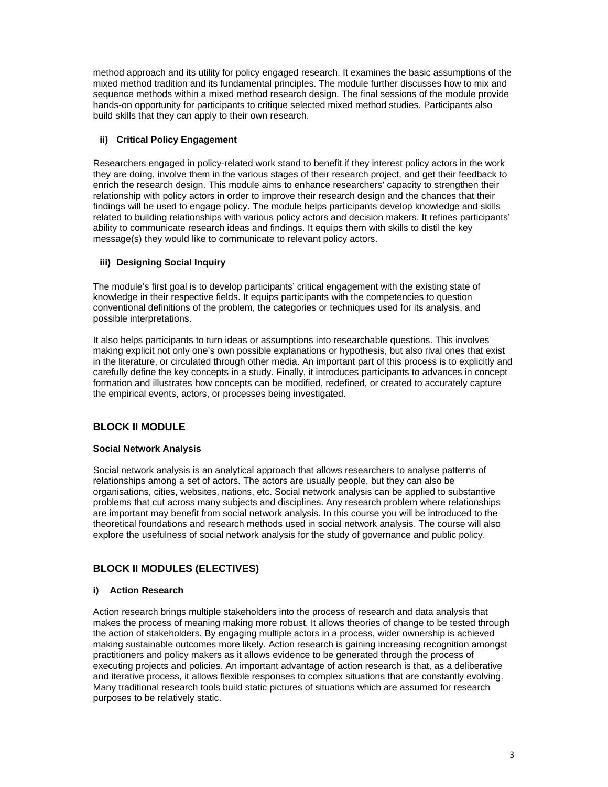method approach and its utility for policy engaged research. It examines the basic assumptions of the mixed method tradition and its fundamental principles. The module further discusses how to mix and sequence methods within a mixed method research design. The final sessions of the module provide hands-on opportunity for participants to critique selected mixed method studies. Participants also build skills that they can apply to their own research.

# **ii) Critical Policy Engagement**

Researchers engaged in policy-related work stand to benefit if they interest policy actors in the work they are doing, involve them in the various stages of their research project, and get their feedback to enrich the research design. This module aims to enhance researchers' capacity to strengthen their relationship with policy actors in order to improve their research design and the chances that their findings will be used to engage policy. The module helps participants develop knowledge and skills related to building relationships with various policy actors and decision makers. It refines participants' ability to communicate research ideas and findings. It equips them with skills to distil the key message(s) they would like to communicate to relevant policy actors.

# **iii) Designing Social Inquiry**

The module's first goal is to develop participants' critical engagement with the existing state of knowledge in their respective fields. It equips participants with the competencies to question conventional definitions of the problem, the categories or techniques used for its analysis, and possible interpretations.

It also helps participants to turn ideas or assumptions into researchable questions. This involves making explicit not only one's own possible explanations or hypothesis, but also rival ones that exist in the literature, or circulated through other media. An important part of this process is to explicitly and carefully define the key concepts in a study. Finally, it introduces participants to advances in concept formation and illustrates how concepts can be modified, redefined, or created to accurately capture the empirical events, actors, or processes being investigated.

# **BLOCK II MODULE**

## **Social Network Analysis**

Social network analysis is an analytical approach that allows researchers to analyse patterns of relationships among a set of actors. The actors are usually people, but they can also be organisations, cities, websites, nations, etc. Social network analysis can be applied to substantive problems that cut across many subjects and disciplines. Any research problem where relationships are important may benefit from social network analysis. In this course you will be introduced to the theoretical foundations and research methods used in social network analysis. The course will also explore the usefulness of social network analysis for the study of governance and public policy.

# **BLOCK II MODULES (ELECTIVES)**

## **i) Action Research**

Action research brings multiple stakeholders into the process of research and data analysis that makes the process of meaning making more robust. It allows theories of change to be tested through the action of stakeholders. By engaging multiple actors in a process, wider ownership is achieved making sustainable outcomes more likely. Action research is gaining increasing recognition amongst practitioners and policy makers as it allows evidence to be generated through the process of executing projects and policies. An important advantage of action research is that, as a deliberative and iterative process, it allows flexible responses to complex situations that are constantly evolving. Many traditional research tools build static pictures of situations which are assumed for research purposes to be relatively static.